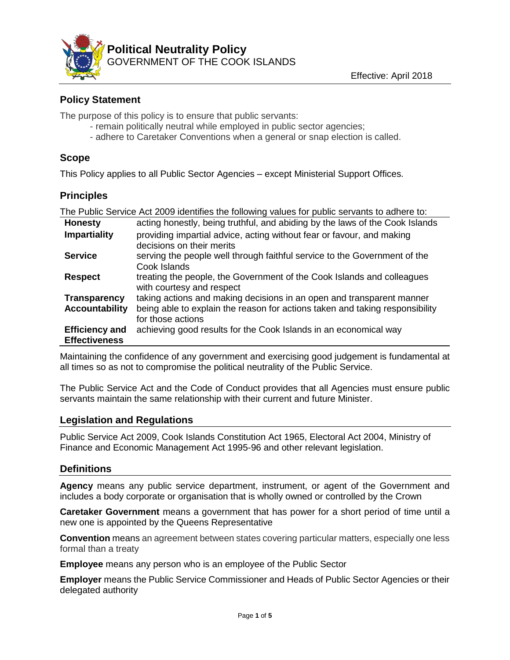

# **Policy Statement**

The purpose of this policy is to ensure that public servants:

- remain politically neutral while employed in public sector agencies;
- adhere to Caretaker Conventions when a general or snap election is called.

## **Scope**

This Policy applies to all Public Sector Agencies – except Ministerial Support Offices.

### **Principles**

| The Public Service Act 2009 identifies the following values for public servants to adhere to: |                                                                              |
|-----------------------------------------------------------------------------------------------|------------------------------------------------------------------------------|
| <b>Honesty</b>                                                                                | acting honestly, being truthful, and abiding by the laws of the Cook Islands |
| <b>Impartiality</b>                                                                           | providing impartial advice, acting without fear or favour, and making        |
|                                                                                               | decisions on their merits                                                    |
| <b>Service</b>                                                                                | serving the people well through faithful service to the Government of the    |
|                                                                                               | Cook Islands                                                                 |
| <b>Respect</b>                                                                                | treating the people, the Government of the Cook Islands and colleagues       |
|                                                                                               | with courtesy and respect                                                    |
| <b>Transparency</b>                                                                           | taking actions and making decisions in an open and transparent manner        |
| <b>Accountability</b>                                                                         | being able to explain the reason for actions taken and taking responsibility |
|                                                                                               | for those actions                                                            |
| <b>Efficiency and</b>                                                                         | achieving good results for the Cook Islands in an economical way             |
| <b>Effectiveness</b>                                                                          |                                                                              |

Maintaining the confidence of any government and exercising good judgement is fundamental at all times so as not to compromise the political neutrality of the Public Service.

The Public Service Act and the Code of Conduct provides that all Agencies must ensure public servants maintain the same relationship with their current and future Minister.

### **Legislation and Regulations**

Public Service Act 2009, Cook Islands Constitution Act 1965, Electoral Act 2004, Ministry of Finance and Economic Management Act 1995-96 and other relevant legislation.

### **Definitions**

**Agency** means any public service department, instrument, or agent of the Government and includes a body corporate or organisation that is wholly owned or controlled by the Crown

**Caretaker Government** means a government that has power for a short period of time until a new one is appointed by the Queens Representative

**Convention** means an agreement between states covering particular matters, especially one less formal than a treaty

**Employee** means any person who is an employee of the Public Sector

**Employer** means the Public Service Commissioner and Heads of Public Sector Agencies or their delegated authority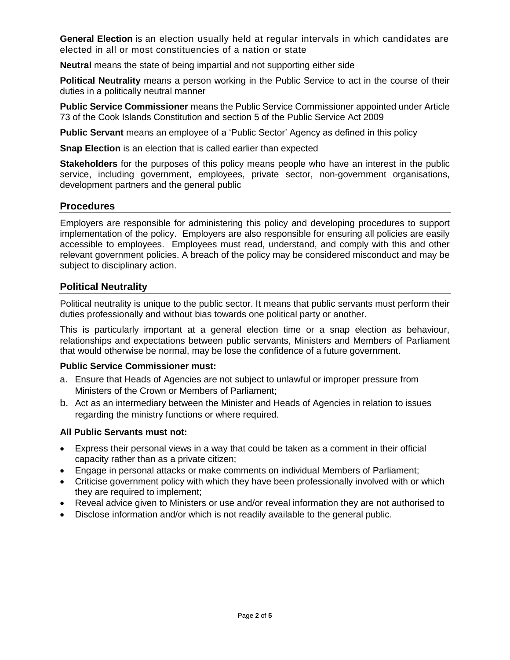**General Election** is an election usually held at regular intervals in which candidates are elected in all or most constituencies of a nation or state

**Neutral** means the state of being impartial and not supporting either side

**Political Neutrality** means a person working in the Public Service to act in the course of their duties in a politically neutral manner

**Public Service Commissioner** means the Public Service Commissioner appointed under Article 73 of the Cook Islands Constitution and section 5 of the Public Service Act 2009

**Public Servant** means an employee of a 'Public Sector' Agency as defined in this policy

**Snap Election** is an election that is called earlier than expected

**Stakeholders** for the purposes of this policy means people who have an interest in the public service, including government, employees, private sector, non-government organisations, development partners and the general public

### **Procedures**

Employers are responsible for administering this policy and developing procedures to support implementation of the policy. Employers are also responsible for ensuring all policies are easily accessible to employees. Employees must read, understand, and comply with this and other relevant government policies. A breach of the policy may be considered misconduct and may be subject to disciplinary action.

### **Political Neutrality**

Political neutrality is unique to the public sector. It means that public servants must perform their duties professionally and without bias towards one political party or another.

This is particularly important at a general election time or a snap election as behaviour, relationships and expectations between public servants, Ministers and Members of Parliament that would otherwise be normal, may be lose the confidence of a future government.

#### **Public Service Commissioner must:**

- a. Ensure that Heads of Agencies are not subject to unlawful or improper pressure from Ministers of the Crown or Members of Parliament;
- b. Act as an intermediary between the Minister and Heads of Agencies in relation to issues regarding the ministry functions or where required.

### **All Public Servants must not:**

- Express their personal views in a way that could be taken as a comment in their official capacity rather than as a private citizen;
- Engage in personal attacks or make comments on individual Members of Parliament;
- Criticise government policy with which they have been professionally involved with or which they are required to implement;
- Reveal advice given to Ministers or use and/or reveal information they are not authorised to
- Disclose information and/or which is not readily available to the general public.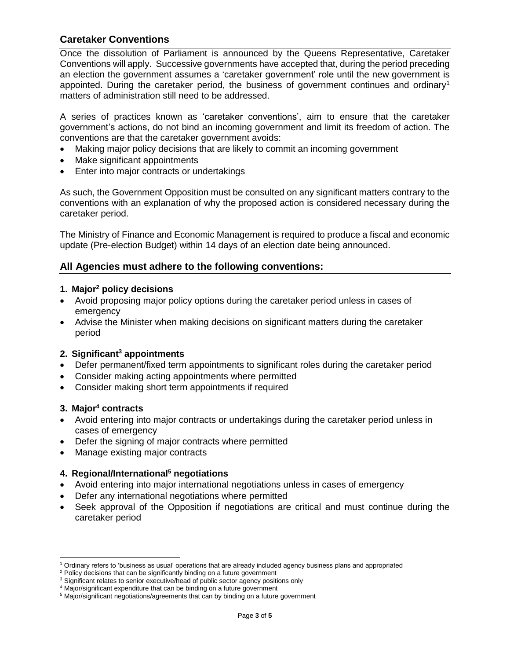## **Caretaker Conventions**

Once the dissolution of Parliament is announced by the Queens Representative, Caretaker Conventions will apply. Successive governments have accepted that, during the period preceding an election the government assumes a 'caretaker government' role until the new government is appointed. During the caretaker period, the business of government continues and ordinary<sup>1</sup> matters of administration still need to be addressed.

A series of practices known as 'caretaker conventions', aim to ensure that the caretaker government's actions, do not bind an incoming government and limit its freedom of action. The conventions are that the caretaker government avoids:

- Making major policy decisions that are likely to commit an incoming government
- Make significant appointments
- Enter into major contracts or undertakings

As such, the Government Opposition must be consulted on any significant matters contrary to the conventions with an explanation of why the proposed action is considered necessary during the caretaker period.

The Ministry of Finance and Economic Management is required to produce a fiscal and economic update (Pre-election Budget) within 14 days of an election date being announced.

### **All Agencies must adhere to the following conventions:**

#### **1. Major<sup>2</sup> policy decisions**

- Avoid proposing major policy options during the caretaker period unless in cases of emergency
- Advise the Minister when making decisions on significant matters during the caretaker period

#### **2. Significant<sup>3</sup> appointments**

- Defer permanent/fixed term appointments to significant roles during the caretaker period
- Consider making acting appointments where permitted
- Consider making short term appointments if required

#### **3. Major<sup>4</sup> contracts**

- Avoid entering into major contracts or undertakings during the caretaker period unless in cases of emergency
- Defer the signing of major contracts where permitted
- Manage existing major contracts

#### **4. Regional/International<sup>5</sup> negotiations**

- Avoid entering into major international negotiations unless in cases of emergency
- Defer any international negotiations where permitted
- Seek approval of the Opposition if negotiations are critical and must continue during the caretaker period

<sup>1</sup> Ordinary refers to 'business as usual' operations that are already included agency business plans and appropriated

<sup>&</sup>lt;sup>2</sup> Policy decisions that can be significantly binding on a future government

<sup>&</sup>lt;sup>3</sup> Significant relates to senior executive/head of public sector agency positions only

<sup>4</sup> Major/significant expenditure that can be binding on a future government

<sup>&</sup>lt;sup>5</sup> Major/significant negotiations/agreements that can by binding on a future government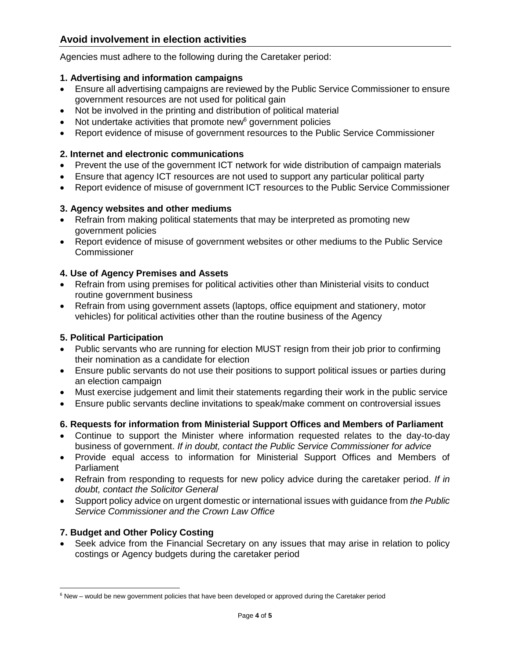Agencies must adhere to the following during the Caretaker period:

### **1. Advertising and information campaigns**

- Ensure all advertising campaigns are reviewed by the Public Service Commissioner to ensure government resources are not used for political gain
- Not be involved in the printing and distribution of political material
- $\bullet$  Not undertake activities that promote new<sup>6</sup> government policies
- Report evidence of misuse of government resources to the Public Service Commissioner

## **2. Internet and electronic communications**

- Prevent the use of the government ICT network for wide distribution of campaign materials
- Ensure that agency ICT resources are not used to support any particular political party
- Report evidence of misuse of government ICT resources to the Public Service Commissioner

## **3. Agency websites and other mediums**

- Refrain from making political statements that may be interpreted as promoting new government policies
- Report evidence of misuse of government websites or other mediums to the Public Service **Commissioner**

## **4. Use of Agency Premises and Assets**

- Refrain from using premises for political activities other than Ministerial visits to conduct routine government business
- Refrain from using government assets (laptops, office equipment and stationery, motor vehicles) for political activities other than the routine business of the Agency

## **5. Political Participation**

- Public servants who are running for election MUST resign from their job prior to confirming their nomination as a candidate for election
- Ensure public servants do not use their positions to support political issues or parties during an election campaign
- Must exercise judgement and limit their statements regarding their work in the public service
- Ensure public servants decline invitations to speak/make comment on controversial issues

# **6. Requests for information from Ministerial Support Offices and Members of Parliament**

- Continue to support the Minister where information requested relates to the day-to-day business of government. *If in doubt, contact the Public Service Commissioner for advice*
- Provide equal access to information for Ministerial Support Offices and Members of **Parliament**
- Refrain from responding to requests for new policy advice during the caretaker period. *If in doubt, contact the Solicitor General*
- Support policy advice on urgent domestic or international issues with guidance from *the Public Service Commissioner and the Crown Law Office*

# **7. Budget and Other Policy Costing**

 Seek advice from the Financial Secretary on any issues that may arise in relation to policy costings or Agency budgets during the caretaker period

<sup>&</sup>lt;sup>6</sup> New – would be new government policies that have been developed or approved during the Caretaker period